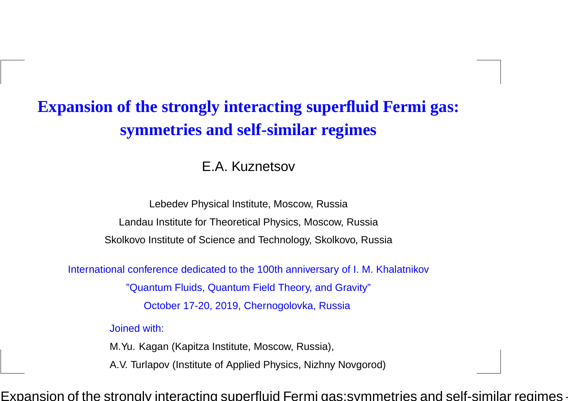# **Expansion of the strongly interacting superfluid Fermi gas:symmetries and self-similar regimes**

#### E.A. Kuznetsov

Lebedev Physical Institute, Moscow, Russia

Landau Institute for Theoretical Physics, Moscow, Russia

Skolkovo Institute of Science and Technology, Skolkovo, Russia

International conference dedicated to the 100th anniversary of I. M. Khalatnikov

"Quantum Fluids, Quantum Field Theory, and Gravity"

October 17-20, 2019, Chernogolovka, Russia

Joined with:

M.Yu. Kagan (Kapitza Institute, Moscow, Russia),

A.V. Turlapov (Institute of Applied Physics, Nizhny Novgorod)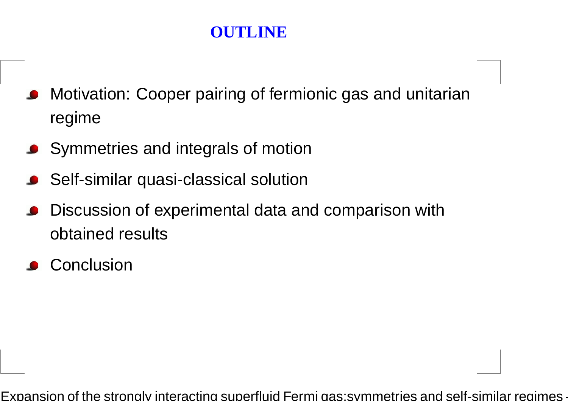# **OUTLINE**

- **•** Motivation: Cooper pairing of fermionic gas and unitarian regime
- **Symmetries and integrals of motion**
- Self-similar quasi-classical solution
- Discussion of experimental data and comparison withobtained results
- **Conclusion**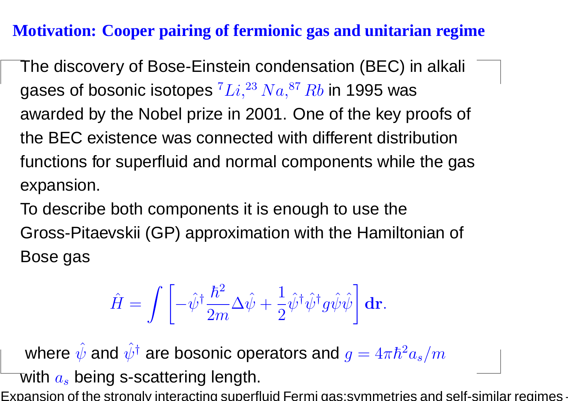## **Motivation: Cooper pairing of fermionic gas and unitarian regime**

The discovery of Bose-Einstein condensation (BEC) in alkali gases of bosonic isotopes  $^{7}Li,^{23}Na,^{87}Rb$  in 1995 was awarded by the Nobel prize in 2001. One of the key proofs of the BEC existence was connected with different distributionfunctions for superfluid and normal components while the gasexpansion.

To describe both components it is enough to use theGross-Pitaevskii (GP) approximation with the Hamiltonian of Bose gas

$$
\hat{H} = \int \left[ -\hat{\psi}^{\dagger} \frac{\hbar^2}{2m} \Delta \hat{\psi} + \frac{1}{2} \hat{\psi}^{\dagger} \hat{\psi}^{\dagger} g \hat{\psi} \hat{\psi} \right] \mathbf{dr}.
$$

where  $\hat{\psi}$  and  $\hat{\psi}^{\dagger}$  are bosonic operators and  $g = 4\pi\hbar^2$  $^2a_s/m$ with  $a_s$  being s-scattering length.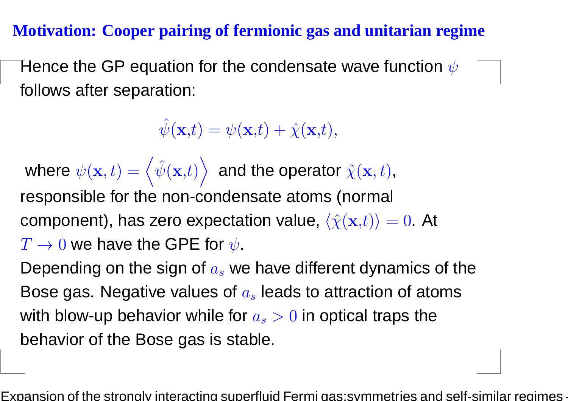## **Motivation: Cooper pairing of fermionic gas and unitarian regime**

Hence the GP equation for the condensate wave function  $\psi$ follows after separation:

 $\hat{\psi}(\mathbf{x,}t) = \psi(\mathbf{x,}t) + \hat{\chi}(\mathbf{x,}t),$ 

where  $\psi({\bf x},t) = \left\langle \hat{\psi}({\bf x},t) \right\rangle\,$  and the operator responsible for the non-condensate atoms (normal  $\hat{\chi}(\mathbf{x},t)$  , component), has zero expectation value,  $\langle\hat{\chi}(\mathbf{x,}t)\rangle=0.$  At  $T\rightarrow0$  we have the GPE for  $\psi.$ 

Depending on the sign of  $a_s$  we have different dynamics of the Bose gas. Negative values of  $a_s$  leads to attraction of atoms with blow-up behavior while for  $a_s>0$  in optical traps the behavior of the Bose gas is stable.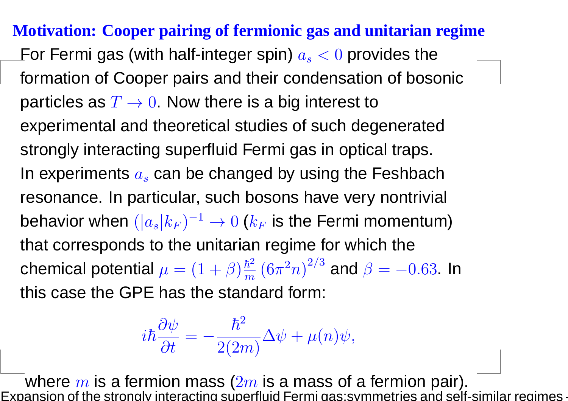**Motivation: Cooper pairing of fermionic gas and unitarian regime**For Fermi gas (with half-integer spin)  $a_s < 0$  provides the formation of Cooper pairs and their condensation of bosonicparticles as  $T\rightarrow0$ . Now there is a big interest to experimental and theoretical studies of such degeneratedstrongly interacting superfluid Fermi gas in optical traps. In experiments  $a_s$  can be changed by using the Feshbach resonance. In particular, such bosons have very nontrivial behavior when  $(|a_s|k_F)^{-1}$  $^1 \rightarrow 0$   $(k_F$  that corresponds to the unitarian regime for which the $_{F}$  is the Fermi momentum) chemical potential  $\mu = (1+\beta)\frac{\hbar^2}{m} \left(6\pi^2 n\right)^{2/3}$  and  $\beta = -1$  this case the GPE has the standard form: 2 $\,m$  $rac{h^2}{m}(6\pi$ 2 $^{2}n)^{2}$  $2/$  $^3$  and  $\beta$ =− $0.63$  In

$$
i\hbar\frac{\partial\psi}{\partial t}=-\frac{\hbar^2}{2(2m)}\Delta\psi+\mu(n)\psi,
$$

where  $m$  is a fermion mass ( $2m$  is a mass of a fermion pair).<br>ansion of the strongly interacting superfluid Fermi gas:symmetries and self Expansion of the strongly interacting superfluid Fermi gas:symmetries and self-similar regimes –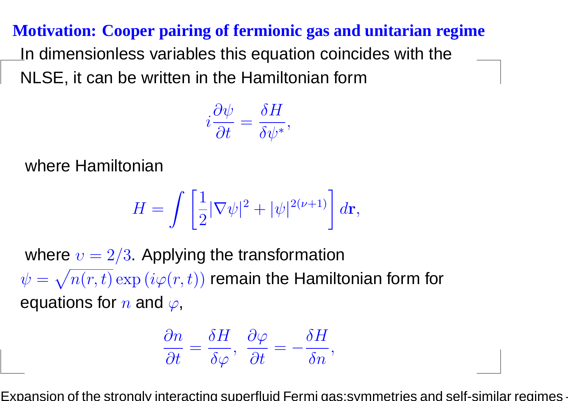**Motivation: Cooper pairing of fermionic gas and unitarian regime**In dimensionless variables this equation coincides with theNLSE, it can be written in the Hamiltonian form

$$
i\frac{\partial \psi}{\partial t} = \frac{\delta H}{\delta \psi^*},
$$

where Hamiltonian

$$
H = \int \left[\frac{1}{2}|\nabla \psi|^2 + |\psi|^{2(\nu+1)}\right]d\mathbf{r},
$$

where  $v=2/3$ . Applying the transformation  $\psi = \sqrt{n(r,t)} \exp{(i\varphi(r,t))}$  remain the Hamil =equations for  $n$  and  $\varphi,$  $\sqrt{n(r,t)}$   $\exp(i\varphi(r,t))$  remain the Hamiltonian form for

$$
\frac{\partial n}{\partial t} = \frac{\delta H}{\delta \varphi}, \ \frac{\partial \varphi}{\partial t} = -\frac{\delta H}{\delta n},
$$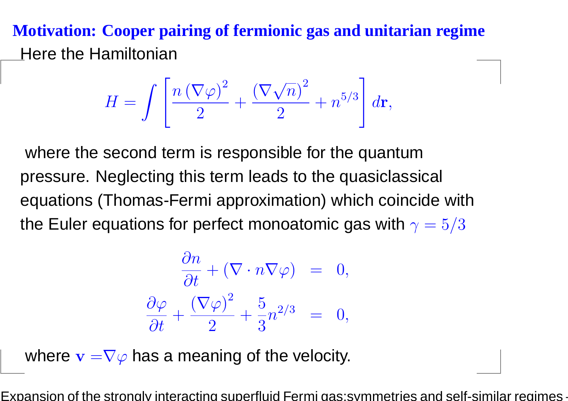# **Motivation: Cooper pairing of fermionic gas and unitarian regime**Here the Hamiltonian

$$
H = \int \left[ \frac{n \left( \nabla \varphi \right)^2}{2} + \frac{\left( \nabla \sqrt{n} \right)^2}{2} + n^{5/3} \right] d\mathbf{r},
$$

where the second term is responsible for the quantum pressure. Neglecting this term leads to the quasiclassical equations (Thomas-Fermi approximation) which coincide withthe Euler equations for perfect monoatomic gas with  $\gamma = 5/3$ 

$$
\frac{\partial n}{\partial t} + (\nabla \cdot n \nabla \varphi) = 0,
$$
  

$$
\frac{\partial \varphi}{\partial t} + \frac{(\nabla \varphi)^2}{2} + \frac{5}{3} n^{2/3} = 0,
$$

where  $\mathbf{v=}\nabla\varphi$  has a meaning of the velocity.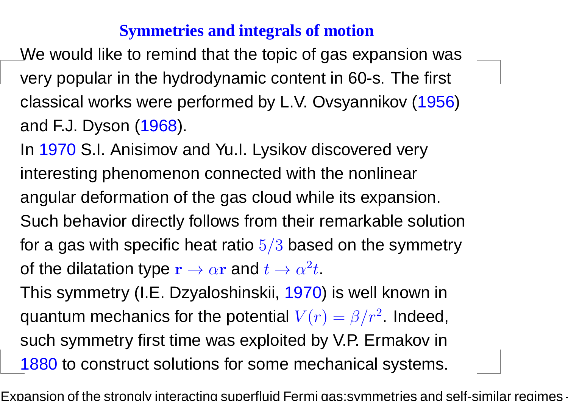## **Symmetries and integrals of motion**

We would like to remind that the topic of gas expansion wasvery popular in the hydrodynamic content in 60-s. The first classical works were performed by L.V. Ovsyannikov (1956)and F.J. Dyson (1968).

In <mark>1970</mark> S.I. Anisimov and Yu.I. Lysikov discovered very interesting phenomenon connected with the nonlinearangular deformation of the gas cloud while its expansion. Such behavior directly follows from their remarkable solutionfor a gas with specific heat ratio  $5/3$  based on the symmetry of the dilatation type  $\mathbf{r}\rightarrow\alpha\mathbf{r}$  and  $t\rightarrow\alpha$ 2 $^2t$ .

 This symmetry (I.E. Dzyaloshinskii, 1970) is well known inquantum mechanics for the potential  $V(r) = \beta/r^2$ . Indeed, such symmetry first time was exploited by V.P. Ermakov in1880 to construct solutions for some mechanical systems.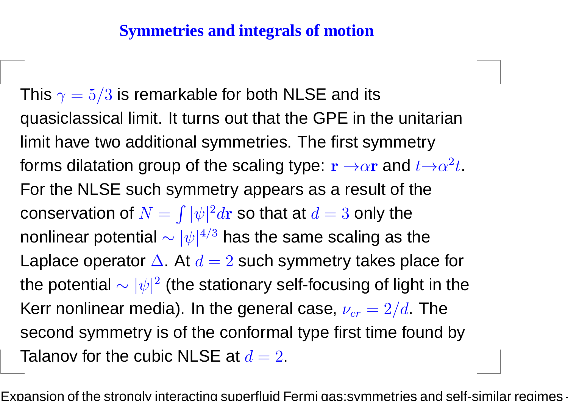## **Symmetries and integrals of motion**

This  $\gamma=5/3$  is remarkable for both NLSE and its quasiclassical limit. It turns out that the GPE in the unitarianlimit have two additional symmetries. The first symmetryforms dilatation group of the scaling type:  $\mathbf{r}\to\!\alpha\mathbf{r}$  and  $t\!\to\!\alpha$  For the NLSE such symmetry appears as <sup>a</sup> result of the2 $^2t$ . conservation of  $N=\,$ nonlinear potential  $\sim |\psi|^{4/3}$  has the same scaling as  $\int |\psi|^2$  ${}^{2}d{\bf r}$  so that at  $d=3$  only the  $\frac{4}{ }$  $^3$  has the same scaling as the Laplace operator  $\Delta.$  At  $d=2$  such symmetry takes place for the potential  $\sim |\psi|^2$  (the stationary self-focusing of light in the Kerr nonlinear media). In the general case,  $\nu_{cr}=2/d$ . The second symmetry is of the conformal type first time found byTalanov for the cubic NLSE at  $d=2$ .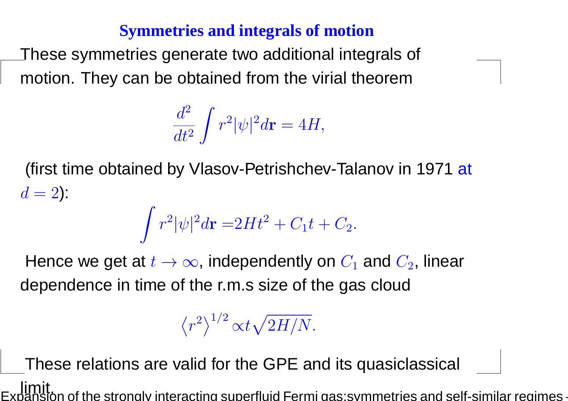## **Symmetries and integrals of motion**

These symmetries generate two additional integrals of motion. They can be obtained from the virial theorem

$$
\frac{d^2}{dt^2} \int r^2 |\psi|^2 d\mathbf{r} = 4H,
$$

(first time obtained by Vlasov-Petrishchev-Talanov in 1971 <mark>at</mark>  $d = 2$ ):

$$
\int r^2 |\psi|^2 d\mathbf{r} = 2Ht^2 + C_1t + C_2.
$$

Hence we get at  $t\to\infty$ , independently on  $C_1$  dependence in time of the r.m.s size of the gas cloud $\mathcal{C}_1$  and  $C_2$ , linear

$$
\left\langle r^{2}\right\rangle ^{1/2}\mathrm{c}t\sqrt{2H/N}.
$$

These relations are valid for the GPE and its quasiclassical limit.In of the strongly interacting superfluid Fermi gas:symmetries and self-similar regimes –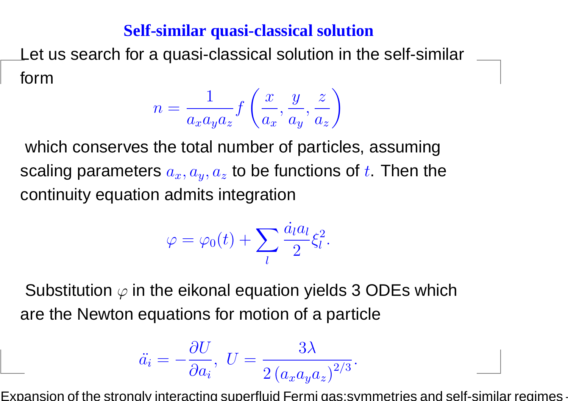Let us search for <sup>a</sup> quasi-classical solution in the self-similarform

$$
n = \frac{1}{a_x a_y a_z} f\left(\frac{x}{a_x}, \frac{y}{a_y}, \frac{z}{a_z}\right)
$$

which conserves the total number of particles, assumingscaling parameters  $a_x, a_y, a_z$  $_{z}$  to be functions of  $t.$  Then the continuity equation admits integration

$$
\varphi = \varphi_0(t) + \sum_l \frac{\dot{a}_l a_l}{2} \xi_l^2.
$$

Substitution  $\varphi$  in the eikonal equation yields 3 ODEs which are the Newton equations for motion of <sup>a</sup> particle

$$
\ddot{a_i} = -\frac{\partial U}{\partial a_i}, \ U = \frac{3\lambda}{2(a_x a_y a_z)^{2/3}}
$$

Expansion of the strongly interacting superfluid Fermi gas:symmetries and self-similar regimes –

.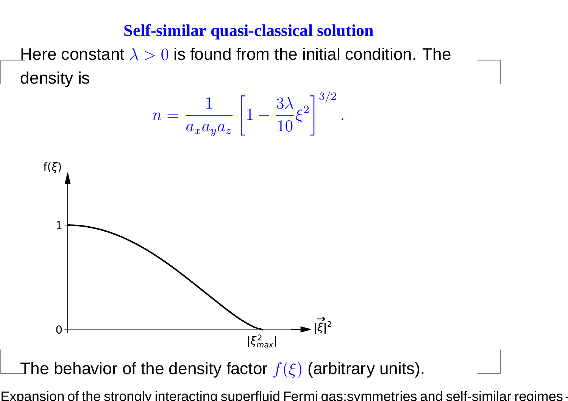Here constant  $\lambda>0$  is found from the initial condition. The density is





The behavior of the density factor  $f(\xi)$  (arbitrary units).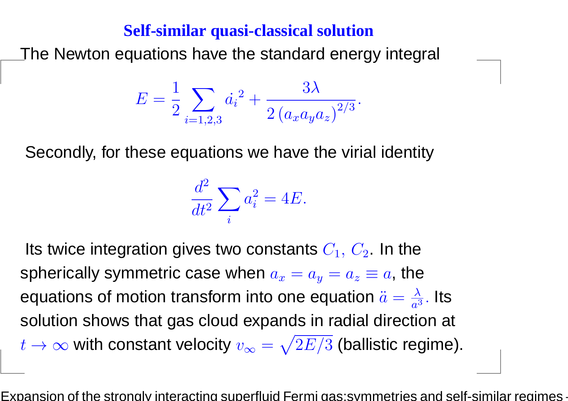The Newton equations have the standard energy integral

$$
E = \frac{1}{2} \sum_{i=1,2,3} \dot{a_i}^2 + \frac{3\lambda}{2 \left(a_x a_y a_z\right)^{2/3}}.
$$

Secondly, for these equations we have the virial identity

$$
\frac{d^2}{dt^2} \sum_i a_i^2 = 4E.
$$

Its twice integration gives two constants  $C_1,\,C_2.$  In the spherically symmetric case when  $a_x=a_y=a_z\equiv a$ , the equations of motion transform into one equation  $\ddot{a}=\frac{\lambda}{a^3}$  solution shows that gas cloud expands in radial direction at  $\frac{\lambda}{a^3}.$  Its  $t\rightarrow\infty$  with constant velocity  $v_\infty=$  $\sqrt{2E/3}$  (ballistic regime).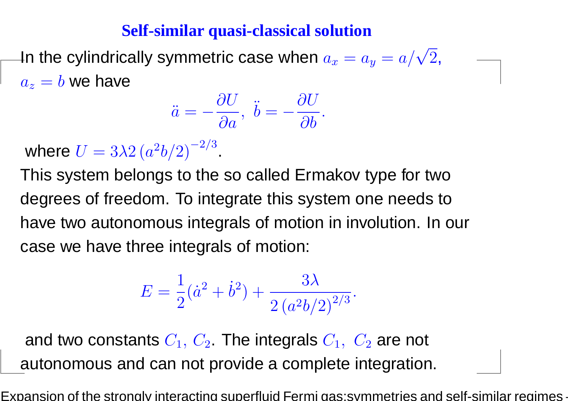In the cylindrically symmetric case when  $a_x=a_y=\,$  $= a/\sqrt{2},$  $a_z=b$  we have

$$
\ddot{a}=-\frac{\partial U}{\partial a},\,\,\ddot{b}=-\frac{\partial U}{\partial b}.
$$

where  $U=3\lambda 2 \left(a^2 b/2\right)^{-1}$ 2 $2/$ 3.

This system belongs to the so called Ermakov type for twodegrees of freedom. To integrate this system one needs tohave two autonomous integrals of motion in involution. In ourcase we have three integrals of motion:

$$
E = \frac{1}{2}(\dot{a}^2 + \dot{b}^2) + \frac{3\lambda}{2\left(a^2b/2\right)^{2/3}}.
$$

and two constants  $C_1,\,C_2$  . The integrals  $C_1,\,\,C_2$  are not autonomous and can not provide <sup>a</sup> complete integration.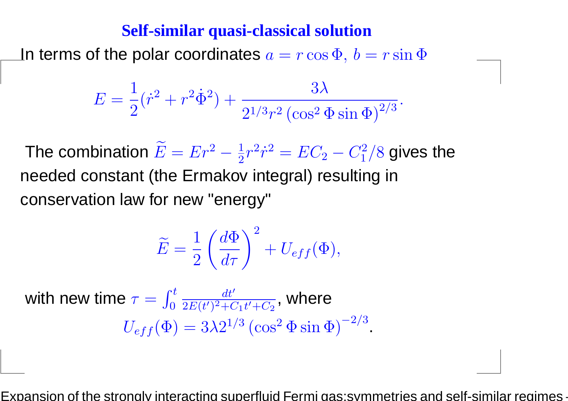In terms of the polar coordinates  $a=r\cos\Phi,\,b$  $= r \sin \Phi$ 

$$
E = \frac{1}{2}(\dot{r}^2 + r^2\dot{\Phi}^2) + \frac{3\lambda}{2^{1/3}r^2\left(\cos^2\Phi\sin\Phi\right)^{2/3}}.
$$

The combination  $\widetilde{E}=Er^2$  $^2-\frac{1}{2}$  needed constant (the Ermakov integral) resulting in 2 $r\,$ 2 $^{2}\dot{r}^{2}$  = $= EC<sub>2</sub>$  $C_1^2$  $_1^2/8$  gives the conservation law for new "energy"

$$
\widetilde{E} = \frac{1}{2} \left( \frac{d\Phi}{d\tau} \right)^2 + U_{eff}(\Phi),
$$

with new time  $\tau$ = $U_{eff}(\Phi)=3\lambda 2^{1/3}$  (c  $\int_0^t$  $\frac{dt}{ }$ ′  $\frac{dt^{\prime}}{2E(t^{\prime})^2+C_1t^{\prime}+C_2}$ , where  $\frac{1}{\sqrt{2}}$  $^3 \left(\cos^2\Phi \sin\Phi\right)^-$ 2 $2/$ 3.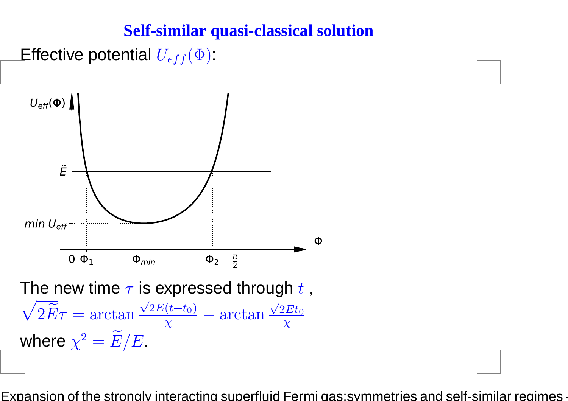

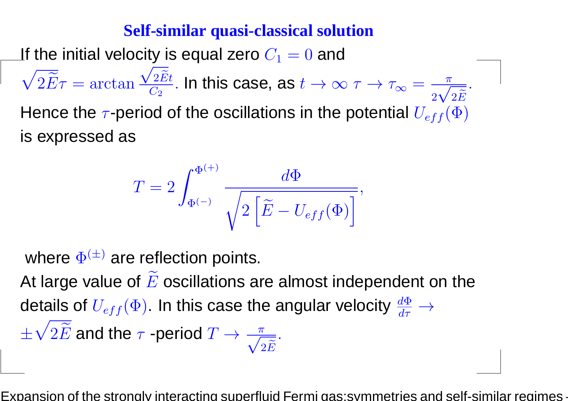If the initial velocity is equal zero  $C_1$  $\sqrt{2\widetilde{E}}\tau = \arctan \frac{\sqrt{2\widetilde{E}}t}{C_2}$ . In this case, as  $t \to \infty$  $\zeta_1 = 0$  and  $\sqrt{2\widetilde{E}}t$  $\frac{2Et}{C_2}$ . In this case, as Hence the  $\tau$ -period of the oscillations in the potential  $U_{eff}(\Phi)$  $t\rightarrow \infty$   $\tau$  $\rightarrow \tau_{\infty}=\frac{-\pi}{4}$  $2\sqrt{2\widetilde{E}}$  . is expressed as

$$
T = 2 \int_{\Phi^{(-)}}^{\Phi^{(+)}} \frac{d\Phi}{\sqrt{2\left[\tilde{E} - U_{eff}(\Phi)\right]}},
$$

where  $\Phi^{(\pm)}$  are reflection points. At large value of  $\widetilde{E}$  oscillations are almost independent on the details of  $U_{eff}(\Phi).$  In this case the angular velocity  $\frac{d}{d}$ Φ $d\tau$  $\rightarrow$  $\pm\sqrt{2}$  $\widetilde{E}$  and the  $\tau$  -period  $\bm{T}$  $\rightarrow \frac{\pi}{\sqrt{2\widetilde{E}}}.$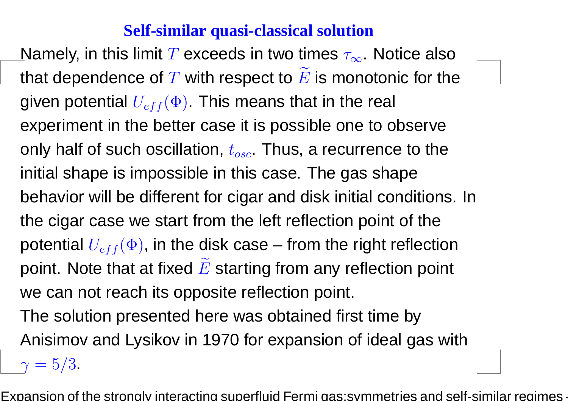Namely, in this limit  $T$  exceeds in two times  $\tau_{\infty}.$  Notice also that dependence of  $T$  with respect to  $\widetilde{E}$  is monotonic for the given potential  $U_{eff}(\Phi).$  This means that in the real experiment in the better case it is possible one to observeonly half of such oscillation,  $t_{osc.}$  Thus, a recurrence to the initial shape is impossible in this case. The gas shapebehavior will be different for cigar and disk initial conditions. Inthe cigar case we start from the left reflection point of thepotential  $U_{eff} (\Phi)$ , in the disk case – from the right reflection point. Note that at fixed  $\widetilde{E}$  starting from any reflection point we can not reach its opposite reflection point.

The solution presented here was obtained first time byAnisimov and Lysikov in 1970 for expansion of ideal gas with

 $\gamma=5/3.$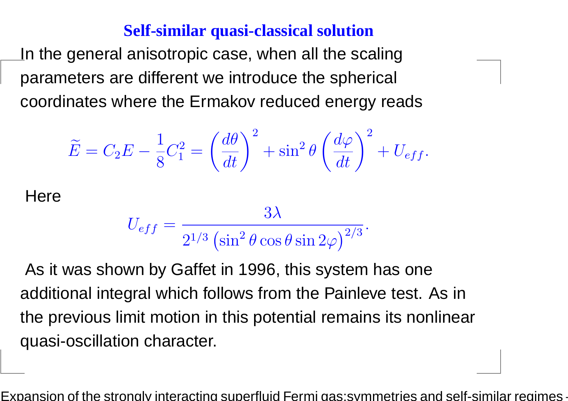In the general anisotropic case, when all the scalingparameters are different we introduce the spherical coordinates where the Ermakov reduced energy reads

$$
\widetilde{E} = C_2 E - \frac{1}{8} C_1^2 = \left(\frac{d\theta}{dt}\right)^2 + \sin^2 \theta \left(\frac{d\varphi}{dt}\right)^2 + U_{eff}.
$$

**Here** 

 $U_{eff}$ =3λ $2^1\,$  $\frac{1}{\sqrt{2}}$ 3 $3\,\mathrm{(\sin^2}$  $\left( \frac{2}{\theta} \cos \theta \sin 2 \varphi \right)^2$  $2/$ 3.

As it was shown by Gaffet in 1996, this system has oneadditional integral which follows from the Painleve test. As inthe previous limit motion in this potential remains its nonlinearquasi-oscillation character.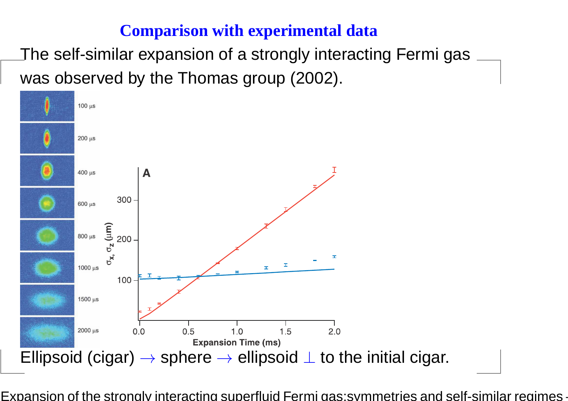## **Comparison with experimental data**

The self-similar expansion of <sup>a</sup> strongly interacting Fermi gaswas observed by the Thomas group (2002).

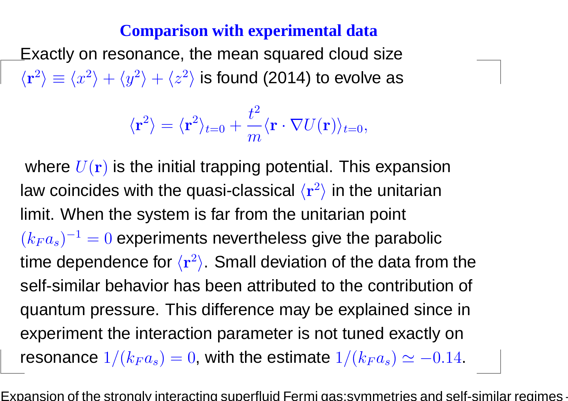### **Comparison with experimental data**

Exactly on resonance, the mean squared cloud size $\langle \mathbf{r}^2 \rangle \equiv \langle x^2 \rangle + \langle y^2 \rangle + \langle z^2 \rangle$  is found (2014) to evolve a  $\langle \rangle \equiv \langle$  $\mathcal{X}% _{0}=\mathbb{R}^{2}\times\mathbb{R}^{2}$ 2 $^2\rangle+\langle y$ 2 $\ket{^2}+\bra{z}$ 2 $\ket{\ ^2}$  is found (2014) to evolve as

$$
\langle \mathbf{r}^2 \rangle = \langle \mathbf{r}^2 \rangle_{t=0} + \frac{t^2}{m} \langle \mathbf{r} \cdot \nabla U(\mathbf{r}) \rangle_{t=0},
$$

where  $U({\bf r})$  is the initial trapping potential. This expansion law coincides with the quasi-classical  $\langle {\bf r}$ 2 $^2\rangle$  in the unitarian limit. When the system is far from the unitarian point  $(k_Fa_s)^{-1}$ time dependence for  $\langle \mathbf{r}% ^{\prime}\rangle$  <sup>=</sup> <sup>0</sup> experiments nevertheless give the parabolic 2 $\langle \rangle$ . Small deviation of the data from the self-similar behavior has been attributed to the contribution of quantum pressure. This difference may be explained since inexperiment the interaction parameter is not tuned exactly <sup>o</sup>nresonance  $1/(k_Fa_s)=0$ , with the estimate  $1/(k_Fa_s)\simeq -0.14$ .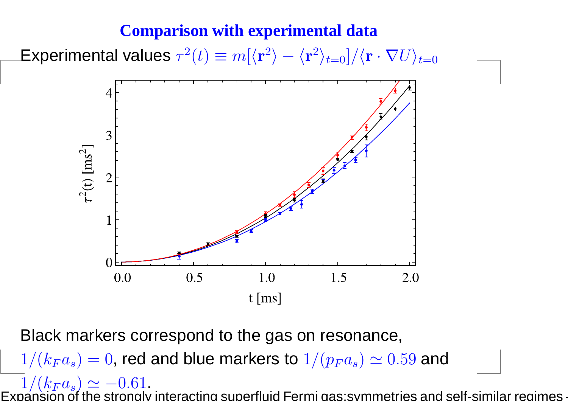#### **Comparison with experimental data**

Experimental values  $\tau$ 2 $\mathbf{f}^2(t)\equiv m[\langle \mathbf{r}% \rangle]^{2n}$  $\ket{^2} - \bra{^2}$  $\mathbf r$ 2 $\langle r^2\rangle_{t=0}]/\langle \mathbf{r}\cdot \nabla U\rangle_{t=0}$ 



Black markers correspond to the gas on resonance,  $1/(k_Fa_s)=0$ , red and blue markers to  $1/(p_Fa_s)\simeq0.59$  and  $1/(k_F a_s) \simeq -0.61$  $\frac{1}{2}$  $\,k$  $\boldsymbol{F}$  $\it a$ s $1/(k_Fa_s)\simeq -0.61.$ Expansion of the strongly interacting superfluid Fermi gas:symmetries and self-similar regimes -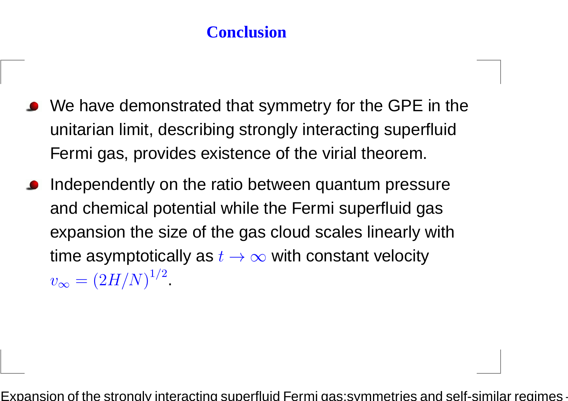## **Conclusion**

- We have demonstrated that symmetry for the GPE in theunitarian limit, describing strongly interacting superfluidFermi gas, provides existence of the virial theorem.
- Independently on the ratio between quantum pressureand chemical potential while the Fermi superfluid gasexpansion the size of the gas cloud scales linearly withtime asymptotically as  $t\to\infty$  with constant velocity  $v_{\infty}$  $_{\infty} = (2H/N)^{1/2}.$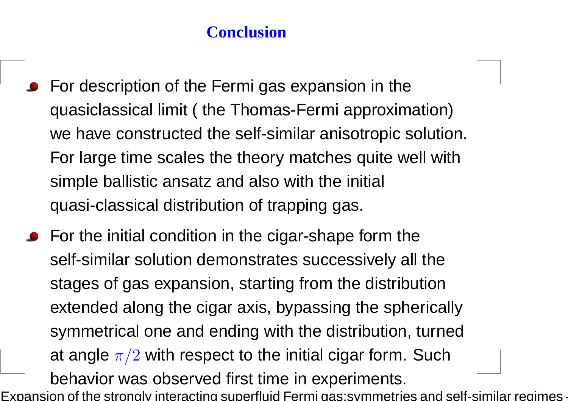## **Conclusion**

- **•** For description of the Fermi gas expansion in the quasiclassical limit ( the Thomas-Fermi approximation)we have constructed the self-similar anisotropic solution. For large time scales the theory matches quite well withsimple ballistic ansatz and also with the initial quasi-classical distribution of trapping gas.
- **•** For the initial condition in the cigar-shape form the self-similar solution demonstrates successively all thestages of gas expansion, starting from the distributionextended along the cigar axis, bypassing the sphericallysymmetrical one and ending with the distribution, turnedat angle  $\pi/2$  with respect to the initial cigar form. Such behavior was observed first time in experiments.